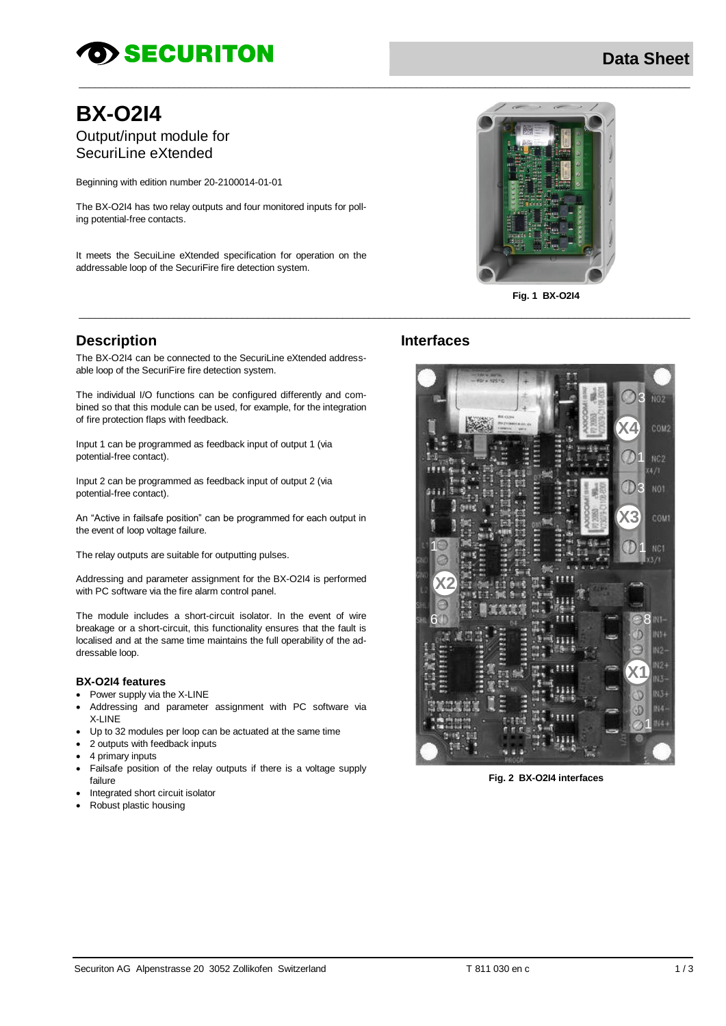# *SECURITON*

# **BX-O2I4** Output/input module for

SecuriLine eXtended

Beginning with edition number 20-2100014-01-01

The BX-O2I4 has two relay outputs and four monitored inputs for polling potential-free contacts.

It meets the SecuiLine eXtended specification for operation on the addressable loop of the SecuriFire fire detection system.



**Fig. 1 BX-O2I4**

## **Description**

The BX-O2I4 can be connected to the SecuriLine eXtended addressable loop of the SecuriFire fire detection system.

The individual I/O functions can be configured differently and combined so that this module can be used, for example, for the integration of fire protection flaps with feedback.

Input 1 can be programmed as feedback input of output 1 (via potential-free contact).

Input 2 can be programmed as feedback input of output 2 (via potential-free contact).

An "Active in failsafe position" can be programmed for each output in the event of loop voltage failure.

The relay outputs are suitable for outputting pulses.

Addressing and parameter assignment for the BX-O2I4 is performed with PC software via the fire alarm control panel.

The module includes a short-circuit isolator. In the event of wire breakage or a short-circuit, this functionality ensures that the fault is localised and at the same time maintains the full operability of the addressable loop.

#### **BX-O2I4 features**

- Power supply via the X-LINE
- Addressing and parameter assignment with PC software via **X-LINE**
- Up to 32 modules per loop can be actuated at the same time
- 2 outputs with feedback inputs
- 4 primary inputs
- Failsafe position of the relay outputs if there is a voltage supply failure
- Integrated short circuit isolator
- Robust plastic housing

## **Interfaces**

 $\_$  ,  $\_$  ,  $\_$  ,  $\_$  ,  $\_$  ,  $\_$  ,  $\_$  ,  $\_$  ,  $\_$  ,  $\_$  ,  $\_$  ,  $\_$  ,  $\_$  ,  $\_$  ,  $\_$  ,  $\_$  ,  $\_$  ,  $\_$  ,  $\_$  ,  $\_$  ,  $\_$  ,  $\_$  ,  $\_$  ,  $\_$  ,  $\_$  ,  $\_$  ,  $\_$  ,  $\_$  ,  $\_$  ,  $\_$  ,  $\_$  ,  $\_$  ,  $\_$  ,  $\_$  ,  $\_$  ,  $\_$  ,  $\_$  ,

 $\_$  , and the set of the set of the set of the set of the set of the set of the set of the set of the set of the set of the set of the set of the set of the set of the set of the set of the set of the set of the set of th



**Fig. 2 BX-O2I4 interfaces**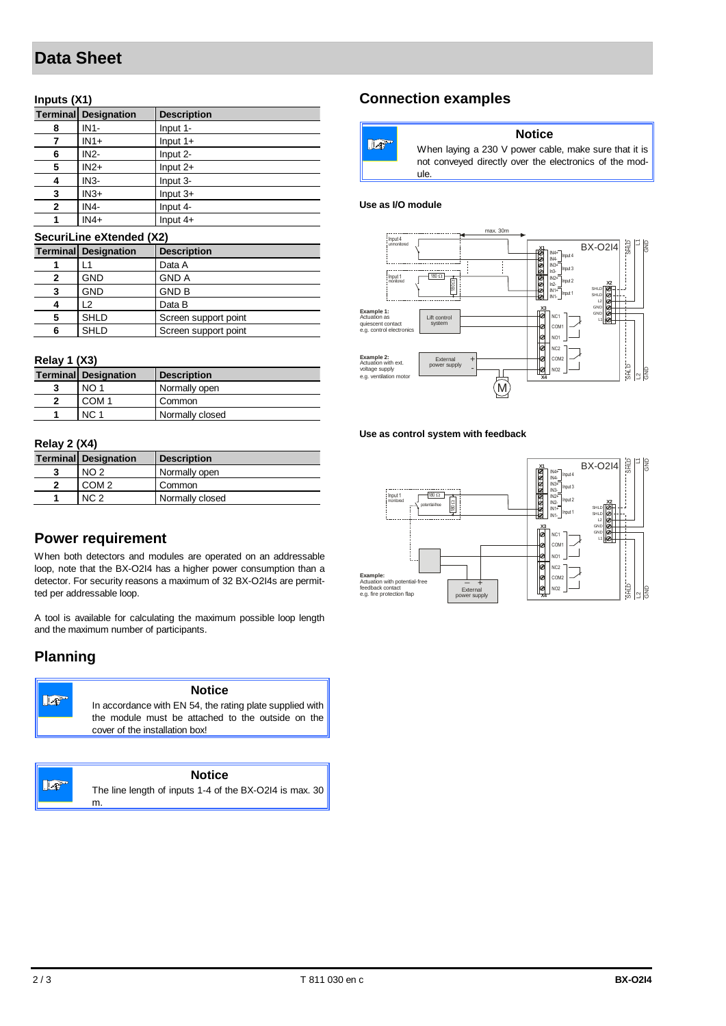# **Data Sheet**

## **Inputs (X1)**

|   | <b>Terminal Designation</b> | <b>Description</b> |
|---|-----------------------------|--------------------|
| 8 | $IN1-$                      | Input 1-           |
|   | $IN1+$                      | Input $1+$         |
| 6 | $IN2-$                      | Input 2-           |
| 5 | $IN2+$                      | Input $2+$         |
| 4 | $IN3-$                      | Input 3-           |
| 3 | $IN3+$                      | Input $3+$         |
| 2 | IN4-                        | Input 4-           |
| 1 | $IN4+$                      | Input $4+$         |

#### **SecuriLine eXtended (X2)**

|   | <b>Terminal Designation</b> | <b>Description</b>   |
|---|-----------------------------|----------------------|
|   | -1                          | Data A               |
| 2 | <b>GND</b>                  | <b>GND A</b>         |
| 3 | <b>GND</b>                  | <b>GND B</b>         |
|   | 12                          | Data B               |
| 5 | <b>SHLD</b>                 | Screen support point |
| 6 | <b>SHLD</b>                 | Screen support point |

#### **Relay 1 (X3)**

|  |  | <b>Terminal Designation</b> | <b>Description</b> |
|--|--|-----------------------------|--------------------|
|  |  | NO <sub>1</sub>             | Normally open      |
|  |  | COM <sub>1</sub>            | Common             |
|  |  | NC 1                        | Normally closed    |

#### **Relay 2 (X4)**

| <b>Terminal Designation</b> | <b>Description</b> |
|-----------------------------|--------------------|
| NO <sub>2</sub>             | Normally open      |
| COM <sub>2</sub>            | Common             |
| NC <sub>2</sub>             | Normally closed    |

## **Power requirement**

When both detectors and modules are operated on an addressable loop, note that the BX-O2I4 has a higher power consumption than a detector. For security reasons a maximum of 32 BX-O2I4s are permitted per addressable loop.

A tool is available for calculating the maximum possible loop length and the maximum number of participants.

## **Planning**

Lo

| ≁∞ | <b>Notice</b>                                                                                                                                   |
|----|-------------------------------------------------------------------------------------------------------------------------------------------------|
|    | In accordance with EN 54, the rating plate supplied with<br>the module must be attached to the outside on the<br>cover of the installation box! |
|    |                                                                                                                                                 |

### **Notice**

The line length of inputs 1-4 of the BX-O2I4 is max. 30 m.

## **Connection examples**

| $\mathbb{Z}^n$ | When layin  |
|----------------|-------------|
|                | not conveye |
|                | ule.        |

#### **Notice**

 $log a 230 V$  power cable, make sure that it is ed directly over the electronics of the mod-

#### **Use as I/O module**



**Use as control system with feedback**